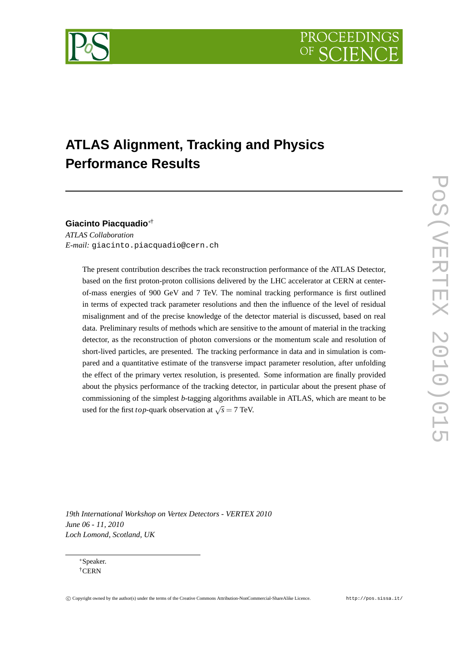

# **ATLAS Alignment, Tracking and Physics Performance Results**

# **Giacinto Piacquadio**∗†

*ATLAS Collaboration E-mail:* giacinto.piacquadio@cern.ch

> The present contribution describes the track reconstruction performance of the ATLAS Detector, based on the first proton-proton collisions delivered by the LHC accelerator at CERN at centerof-mass energies of 900 GeV and 7 TeV. The nominal tracking performance is first outlined in terms of expected track parameter resolutions and then the influence of the level of residual misalignment and of the precise knowledge of the detector material is discussed, based on real data. Preliminary results of methods which are sensitive to the amount of material in the tracking detector, as the reconstruction of photon conversions or the momentum scale and resolution of short-lived particles, are presented. The tracking performance in data and in simulation is compared and a quantitative estimate of the transverse impact parameter resolution, after unfolding the effect of the primary vertex resolution, is presented. Some information are finally provided about the physics performance of the tracking detector, in particular about the present phase of commissioning of the simplest *b*-tagging algorithms available in ATLAS, which are meant to be used for the first *top*-quark observation at  $\sqrt{s} = 7$  TeV.

*19th International Workshop on Vertex Detectors - VERTEX 2010 June 06 - 11, 2010 Loch Lomond, Scotland, UK*

∗Speaker. †CERN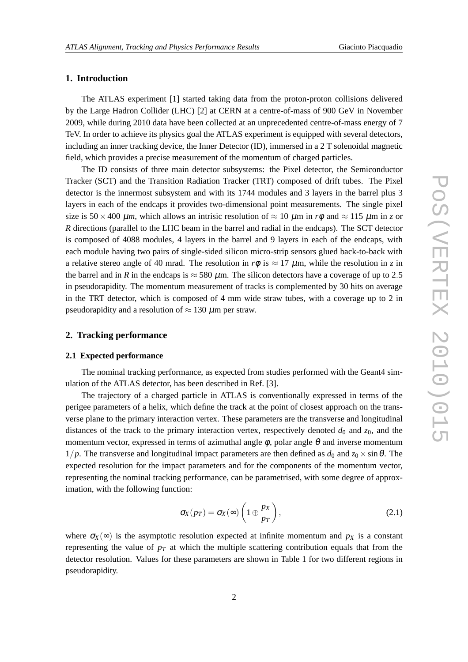# **1. Introduction**

The ATLAS experiment [1] started taking data from the proton-proton collisions delivered by the Large Hadron Collider (LHC) [2] at CERN at a centre-of-mass of 900 GeV in November 2009, while during 2010 data have been collected at an unprecedented centre-of-mass energy of 7 TeV. In order to achieve its physics goal the ATLAS experiment is equipped with several detectors, including an inner tracking device, the Inner Detector (ID), immersed in a 2 T solenoidal magnetic field, which provides a precise measurement of the momentum of charged particles.

The ID consists of three main detector subsystems: the Pixel detector, the Semiconductor Tracker (SCT) and the Transition Radiation Tracker (TRT) composed of drift tubes. The Pixel detector is the innermost subsystem and with its 1744 modules and 3 layers in the barrel plus 3 layers in each of the endcaps it provides two-dimensional point measurements. The single pixel size is  $50 \times 400 \ \mu m$ , which allows an intrisic resolution of  $\approx 10 \ \mu m$  in  $r\phi$  and  $\approx 115 \ \mu m$  in *z* or *R* directions (parallel to the LHC beam in the barrel and radial in the endcaps). The SCT detector is composed of 4088 modules, 4 layers in the barrel and 9 layers in each of the endcaps, with each module having two pairs of single-sided silicon micro-strip sensors glued back-to-back with a relative stereo angle of 40 mrad. The resolution in  $r\phi$  is  $\approx 17 \mu$ m, while the resolution in *z* in the barrel and in *R* in the endcaps is  $\approx$  580  $\mu$ m. The silicon detectors have a coverage of up to 2.5 in pseudorapidity. The momentum measurement of tracks is complemented by 30 hits on average in the TRT detector, which is composed of 4 mm wide straw tubes, with a coverage up to 2 in pseudorapidity and a resolution of  $\approx 130 \ \mu$ m per straw.

# **2. Tracking performance**

## **2.1 Expected performance**

The nominal tracking performance, as expected from studies performed with the Geant4 simulation of the ATLAS detector, has been described in Ref. [3].

The trajectory of a charged particle in ATLAS is conventionally expressed in terms of the perigee parameters of a helix, which define the track at the point of closest approach on the transverse plane to the primary interaction vertex. These parameters are the transverse and longitudinal distances of the track to the primary interaction vertex, respectively denoted  $d_0$  and  $z_0$ , and the momentum vector, expressed in terms of azimuthal angle  $\phi$ , polar angle  $\theta$  and inverse momentum  $1/p$ . The transverse and longitudinal impact parameters are then defined as  $d_0$  and  $z_0 \times \sin \theta$ . The expected resolution for the impact parameters and for the components of the momentum vector, representing the nominal tracking performance, can be parametrised, with some degree of approximation, with the following function:

$$
\sigma_X(p_T) = \sigma_X(\infty) \left(1 \oplus \frac{p_X}{p_T}\right),\tag{2.1}
$$

where  $\sigma_X(\infty)$  is the asymptotic resolution expected at infinite momentum and  $p_X$  is a constant representing the value of  $p<sub>T</sub>$  at which the multiple scattering contribution equals that from the detector resolution. Values for these parameters are shown in Table 1 for two different regions in pseudorapidity.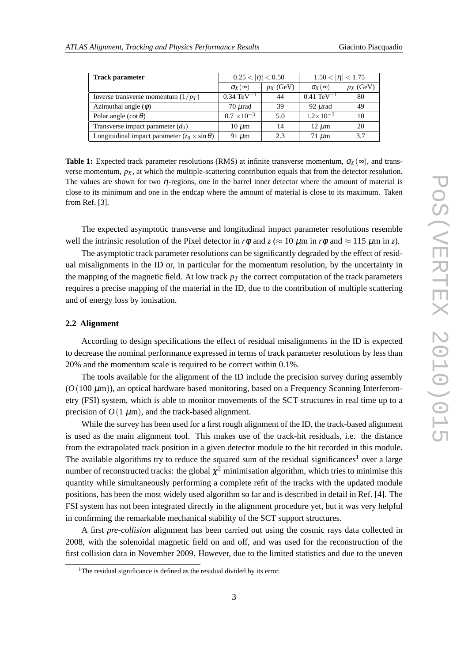| <b>Track parameter</b>                                   | $0.25 <  \eta  < 0.50$  |             | $1.50 <  \eta  < 1.75$  |             |
|----------------------------------------------------------|-------------------------|-------------|-------------------------|-------------|
|                                                          | $\sigma_X(\infty)$      | $p_X$ (GeV) | $\sigma_X(\infty)$      | $p_X$ (GeV) |
| Inverse transverse momentum $(1/p_T)$                    | $0.34 \text{ TeV}^{-1}$ | 44          | $0.41 \text{ TeV}^{-1}$ | 80          |
| Azimuthal angle $(\phi)$                                 | $70 \mu$ rad            | 39          | $92 \mu$ rad            | 49          |
| Polar angle $(\cot \theta)$                              | $0.7 \times 10^{-3}$    | 5.0         | $1.2\times10^{-3}$      | 10          |
| Transverse impact parameter $(d_0)$                      | $10 \mu m$              | 14          | $12 \mu m$              | 20          |
| Longitudinal impact parameter $(z_0 \times \sin \theta)$ | 91 $\mu$ m              | 23          | $71 \mu m$              | 3.7         |

**Table 1:** Expected track parameter resolutions (RMS) at infinite transverse momentum,  $\sigma_X(\infty)$ , and transverse momentum,  $p_X$ , at which the multiple-scattering contribution equals that from the detector resolution. The values are shown for two  $\eta$ -regions, one in the barrel inner detector where the amount of material is close to its minimum and one in the endcap where the amount of material is close to its maximum. Taken from Ref. [3].

The expected asymptotic transverse and longitudinal impact parameter resolutions resemble well the intrinsic resolution of the Pixel detector in  $r\phi$  and  $z \approx 10 \mu m$  in  $r\phi$  and  $\approx 115 \mu m$  in *z*).

The asymptotic track parameter resolutions can be significantly degraded by the effect of residual misalignments in the ID or, in particular for the momentum resolution, by the uncertainty in the mapping of the magnetic field. At low track  $p<sub>T</sub>$  the correct computation of the track parameters requires a precise mapping of the material in the ID, due to the contribution of multiple scattering and of energy loss by ionisation.

## **2.2 Alignment**

According to design specifications the effect of residual misalignments in the ID is expected to decrease the nominal performance expressed in terms of track parameter resolutions by less than 20% and the momentum scale is required to be correct within 0.1%.

The tools available for the alignment of the ID include the precision survey during assembly  $(O(100 \mu m))$ , an optical hardware based monitoring, based on a Frequency Scanning Interferometry (FSI) system, which is able to monitor movements of the SCT structures in real time up to a precision of  $O(1 \mu m)$ , and the track-based alignment.

While the survey has been used for a first rough alignment of the ID, the track-based alignment is used as the main alignment tool. This makes use of the track-hit residuals, i.e. the distance from the extrapolated track position in a given detector module to the hit recorded in this module. The available algorithms try to reduce the squared sum of the residual significances<sup>1</sup> over a large number of reconstructed tracks: the global  $\chi^2$  minimisation algorithm, which tries to minimise this quantity while simultaneously performing a complete refit of the tracks with the updated module positions, has been the most widely used algorithm so far and is described in detail in Ref. [4]. The FSI system has not been integrated directly in the alignment procedure yet, but it was very helpful in confirming the remarkable mechanical stability of the SCT support structures.

A first *pre-collision* alignment has been carried out using the cosmic rays data collected in 2008, with the solenoidal magnetic field on and off, and was used for the reconstruction of the first collision data in November 2009. However, due to the limited statistics and due to the uneven

<sup>&</sup>lt;sup>1</sup>The residual significance is defined as the residual divided by its error.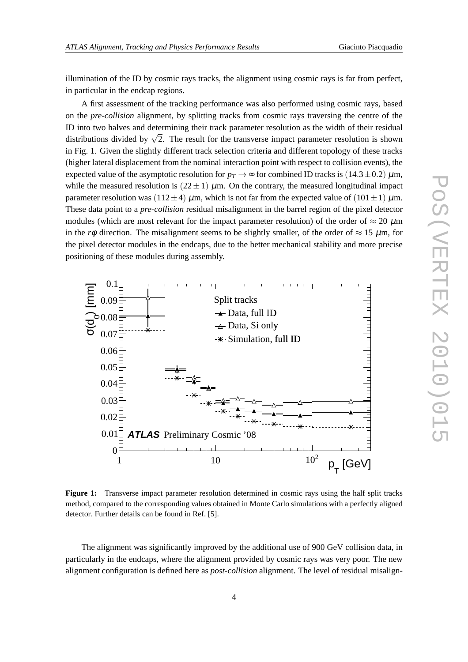illumination of the ID by cosmic rays tracks, the alignment using cosmic rays is far from perfect, in particular in the endcap regions.

A first assessment of the tracking performance was also performed using cosmic rays, based on the *pre-collision* alignment, by splitting tracks from cosmic rays traversing the centre of the ID into two halves and determining their track parameter resolution as the width of their residual distributions divided by  $\sqrt{2}$ . The result for the transverse impact parameter resolution is shown in Fig. 1. Given the slightly different track selection criteria and different topology of these tracks (higher lateral displacement from the nominal interaction point with respect to collision events), the expected value of the asymptotic resolution for  $p_T \rightarrow \infty$  for combined ID tracks is (14.3±0.2)  $\mu$ m, while the measured resolution is  $(22 \pm 1)$   $\mu$ m. On the contrary, the measured longitudinal impact parameter resolution was (112±4)  $\mu$ m, which is not far from the expected value of (101±1)  $\mu$ m. These data point to a *pre-collision* residual misalignment in the barrel region of the pixel detector modules (which are most relevant for the impact parameter resolution) of the order of  $\approx 20 \mu m$ in the *r* $\phi$  direction. The misalignment seems to be slightly smaller, of the order of  $\approx 15 \mu$ m, for the pixel detector modules in the endcaps, due to the better mechanical stability and more precise positioning of these modules during assembly.



**Figure 1:** Transverse impact parameter resolution determined in cosmic rays using the half split tracks method, compared to the corresponding values obtained in Monte Carlo simulations with a perfectly aligned detector. Further details can be found in Ref. [5].

The alignment was significantly improved by the additional use of 900 GeV collision data, in particularly in the endcaps, where the alignment provided by cosmic rays was very poor. The new alignment configuration is defined here as *post-collision* alignment. The level of residual misalign-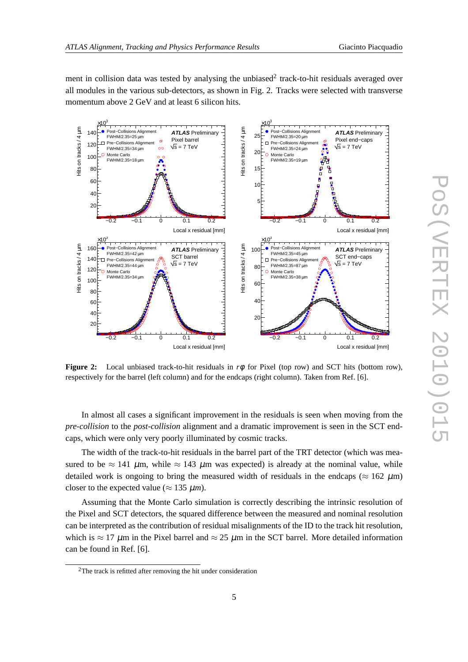3  $\times$ 10

ment in collision data was tested by analysing the unbiased<sup>2</sup> track-to-hit residuals averaged over all modules in the various sub-detectors, as shown in Fig. 2. Tracks were selected with transverse momentum above 2 GeV and at least 6 silicon hits.

> 3  $\times$ 10



**Figure 2:** Local unbiased track-to-hit residuals in *r*φ for Pixel (top row) and SCT hits (bottom row), respectively for the barrel (left column) and for the endcaps (right column). Taken from Ref. [6].

In almost all cases a significant improvement in the residuals is seen when moving from the *pre-collision* to the *post-collision* alignment and a dramatic improvement is seen in the SCT endcaps, which were only very poorly illuminated by cosmic tracks.

The width of the track-to-hit residuals in the barrel part of the TRT detector (which was measured to be  $\approx 141$  µm, while  $\approx 143$  µm was expected) is already at the nominal value, while detailed work is ongoing to bring the measured width of residuals in the endcaps ( $\approx 162 \mu m$ ) closer to the expected value ( $\approx 135 \ \mu m$ ).

Assuming that the Monte Carlo simulation is correctly describing the intrinsic resolution of the Pixel and SCT detectors, the squared difference between the measured and nominal resolution can be interpreted as the contribution of residual misalignments of the ID to the track hit resolution, which is  $\approx 17 \mu$ m in the Pixel barrel and  $\approx 25 \mu$ m in the SCT barrel. More detailed information can be found in Ref. [6].

<sup>2</sup>The track is refitted after removing the hit under consideration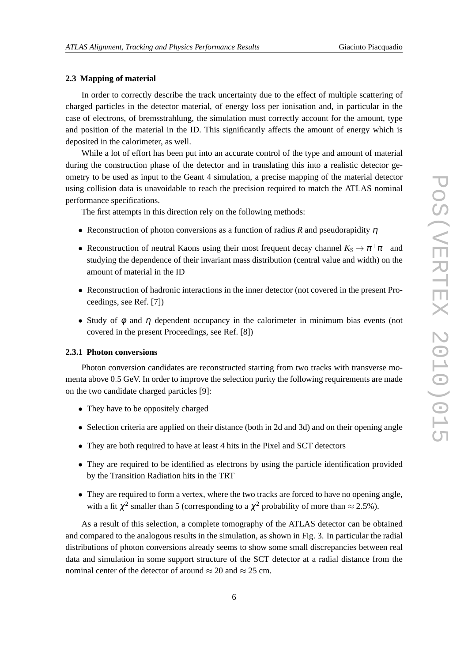#### **2.3 Mapping of material**

In order to correctly describe the track uncertainty due to the effect of multiple scattering of charged particles in the detector material, of energy loss per ionisation and, in particular in the case of electrons, of bremsstrahlung, the simulation must correctly account for the amount, type and position of the material in the ID. This significantly affects the amount of energy which is deposited in the calorimeter, as well.

While a lot of effort has been put into an accurate control of the type and amount of material during the construction phase of the detector and in translating this into a realistic detector geometry to be used as input to the Geant 4 simulation, a precise mapping of the material detector using collision data is unavoidable to reach the precision required to match the ATLAS nominal performance specifications.

The first attempts in this direction rely on the following methods:

- Reconstruction of photon conversions as a function of radius *R* and pseudorapidity <sup>η</sup>
- Reconstruction of neutral Kaons using their most frequent decay channel  $K_S \to \pi^+ \pi^-$  and studying the dependence of their invariant mass distribution (central value and width) on the amount of material in the ID
- Reconstruction of hadronic interactions in the inner detector (not covered in the present Proceedings, see Ref. [7])
- Study of  $\phi$  and  $\eta$  dependent occupancy in the calorimeter in minimum bias events (not covered in the present Proceedings, see Ref. [8])

## **2.3.1 Photon conversions**

Photon conversion candidates are reconstructed starting from two tracks with transverse momenta above 0.5 GeV. In order to improve the selection purity the following requirements are made on the two candidate charged particles [9]:

- They have to be oppositely charged
- Selection criteria are applied on their distance (both in 2d and 3d) and on their opening angle
- They are both required to have at least 4 hits in the Pixel and SCT detectors
- They are required to be identified as electrons by using the particle identification provided by the Transition Radiation hits in the TRT
- They are required to form a vertex, where the two tracks are forced to have no opening angle, with a fit  $\chi^2$  smaller than 5 (corresponding to a  $\chi^2$  probability of more than  $\approx$  2.5%).

As a result of this selection, a complete tomography of the ATLAS detector can be obtained and compared to the analogous results in the simulation, as shown in Fig. 3. In particular the radial distributions of photon conversions already seems to show some small discrepancies between real data and simulation in some support structure of the SCT detector at a radial distance from the nominal center of the detector of around  $\approx 20$  and  $\approx 25$  cm.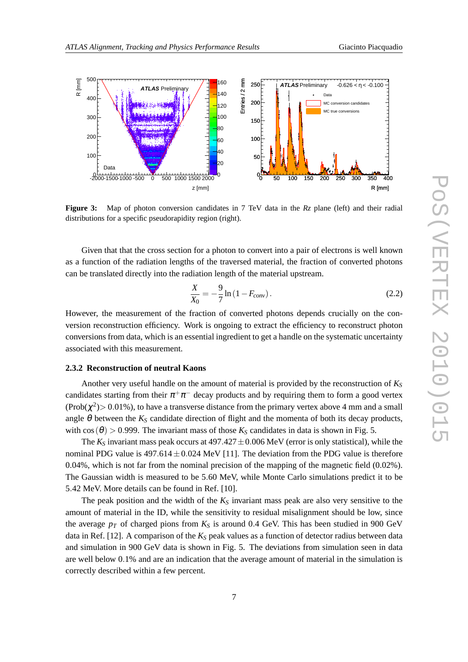

**Figure 3:** Map of photon conversion candidates in 7 TeV data in the *Rz* plane (left) and their radial distributions for a specific pseudorapidity region (right).

Given that that the cross section for a photon to convert into a pair of electrons is well known as a function of the radiation lengths of the traversed material, the fraction of converted photons can be translated directly into the radiation length of the material upstream.

$$
\frac{X}{X_0} = -\frac{9}{7} \ln \left( 1 - F_{conv} \right). \tag{2.2}
$$

However, the measurement of the fraction of converted photons depends crucially on the conversion reconstruction efficiency. Work is ongoing to extract the efficiency to reconstruct photon conversions from data, which is an essential ingredient to get a handle on the systematic uncertainty associated with this measurement.

## **2.3.2 Reconstruction of neutral Kaons**

Another very useful handle on the amount of material is provided by the reconstruction of  $K_S$ candidates starting from their  $\pi^+\pi^-$  decay products and by requiring them to form a good vertex (Prob( $\chi^2$ ) > 0.01%), to have a transverse distance from the primary vertex above 4 mm and a small angle  $\theta$  between the  $K_S$  candidate direction of flight and the momenta of both its decay products, with  $cos(\theta) > 0.999$ . The invariant mass of those  $K_S$  candidates in data is shown in Fig. 5.

The  $K_S$  invariant mass peak occurs at  $497.427 \pm 0.006$  MeV (error is only statistical), while the nominal PDG value is  $497.614 \pm 0.024$  MeV [11]. The deviation from the PDG value is therefore 0.04%, which is not far from the nominal precision of the mapping of the magnetic field (0.02%). The Gaussian width is measured to be 5.60 MeV, while Monte Carlo simulations predict it to be 5.42 MeV. More details can be found in Ref. [10].

The peak position and the width of the  $K<sub>S</sub>$  invariant mass peak are also very sensitive to the amount of material in the ID, while the sensitivity to residual misalignment should be low, since the average  $p_T$  of charged pions from  $K_S$  is around 0.4 GeV. This has been studied in 900 GeV data in Ref. [12]. A comparison of the  $K<sub>S</sub>$  peak values as a function of detector radius between data and simulation in 900 GeV data is shown in Fig. 5. The deviations from simulation seen in data are well below 0.1% and are an indication that the average amount of material in the simulation is correctly described within a few percent.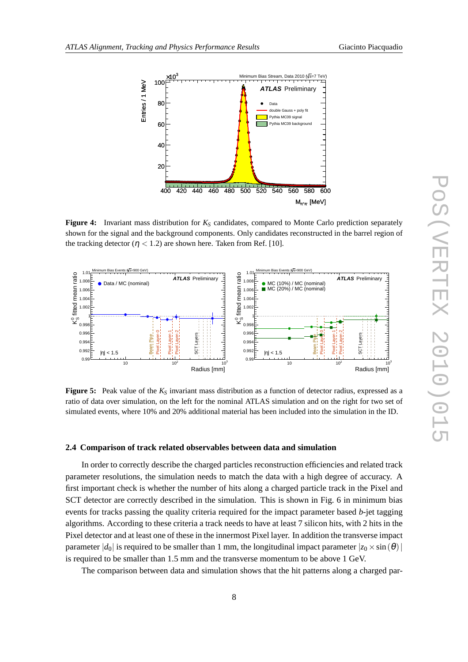

**Figure 4:** Invariant mass distribution for *K<sup>S</sup>* candidates, compared to Monte Carlo prediction separately shown for the signal and the background components. Only candidates reconstructed in the barrel region of the tracking detector ( $\eta$  < 1.2) are shown here. Taken from Ref. [10].



**Figure 5:** Peak value of the *K<sup>S</sup>* invariant mass distribution as a function of detector radius, expressed as a ratio of data over simulation, on the left for the nominal ATLAS simulation and on the right for two set of simulated events, where 10% and 20% additional material has been included into the simulation in the ID.

#### **2.4 Comparison of track related observables between data and simulation**

In order to correctly describe the charged particles reconstruction efficiencies and related track parameter resolutions, the simulation needs to match the data with a high degree of accuracy. A first important check is whether the number of hits along a charged particle track in the Pixel and SCT detector are correctly described in the simulation. This is shown in Fig. 6 in minimum bias events for tracks passing the quality criteria required for the impact parameter based *b*-jet tagging algorithms. According to these criteria a track needs to have at least 7 silicon hits, with 2 hits in the Pixel detector and at least one of these in the innermost Pixel layer. In addition the transverse impact parameter  $|d_0|$  is required to be smaller than 1 mm, the longitudinal impact parameter  $|z_0 \times \sin(\theta)|$ is required to be smaller than 1.5 mm and the transverse momentum to be above 1 GeV.

The comparison between data and simulation shows that the hit patterns along a charged par-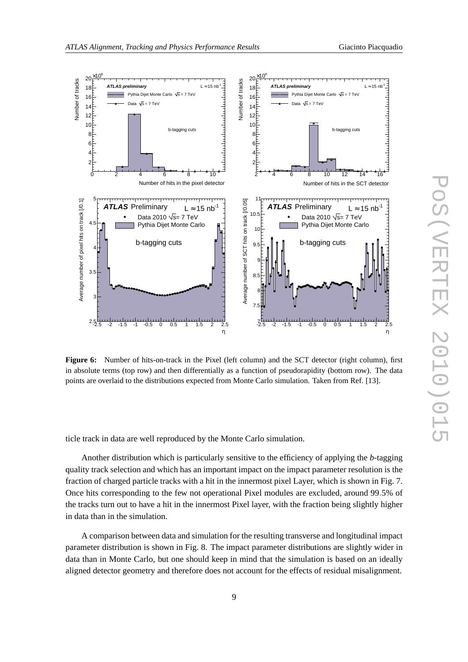



**Figure 6:** Number of hits-on-track in the Pixel (left column) and the SCT detector (right column), first in absolute terms (top row) and then differentially as a function of pseudorapidity (bottom row). The data points are overlaid to the distributions expected from Monte Carlo simulation. Taken from Ref. [13].

ticle track in data are well reproduced by the Monte Carlo simulation.

Another distribution which is particularly sensitive to the efficiency of applying the *b*-tagging quality track selection and which has an important impact on the impact parameter resolution is the fraction of charged particle tracks with a hit in the innermost pixel Layer, which is shown in Fig. 7. Once hits corresponding to the few not operational Pixel modules are excluded, around 99.5% of the tracks turn out to have a hit in the innermost Pixel layer, with the fraction being slightly higher in data than in the simulation.

A comparison between data and simulation for the resulting transverse and longitudinal impact parameter distribution is shown in Fig. 8. The impact parameter distributions are slightly wider in data than in Monte Carlo, but one should keep in mind that the simulation is based on an ideally aligned detector geometry and therefore does not account for the effects of residual misalignment.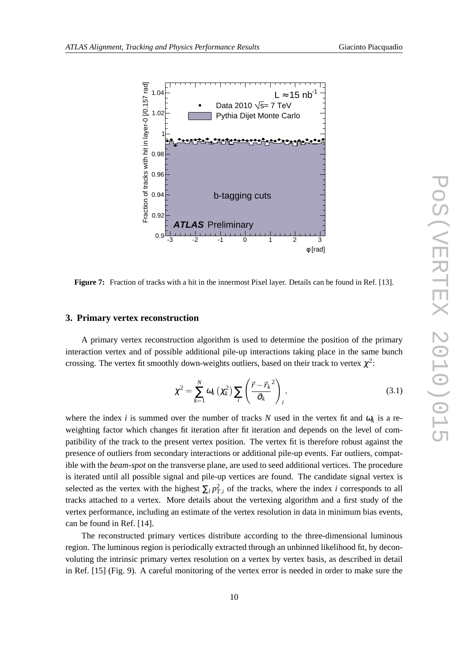

**Figure 7:** Fraction of tracks with a hit in the innermost Pixel layer. Details can be found in Ref. [13].

#### **3. Primary vertex reconstruction**

A primary vertex reconstruction algorithm is used to determine the position of the primary interaction vertex and of possible additional pile-up interactions taking place in the same bunch crossing. The vertex fit smoothly down-weights outliers, based on their track to vertex  $\chi^2$ :

$$
\chi^2 = \sum_{k=1}^N \omega_k \left( \chi_k^2 \right) \sum_i \left( \frac{\vec{r} - \vec{r}_k^2}{\vec{\sigma}_k} \right)_i, \tag{3.1}
$$

where the index *i* is summed over the number of tracks *N* used in the vertex fit and  $\omega_k$  is a reweighting factor which changes fit iteration after fit iteration and depends on the level of compatibility of the track to the present vertex position. The vertex fit is therefore robust against the presence of outliers from secondary interactions or additional pile-up events. Far outliers, compatible with the *beam-spot* on the transverse plane, are used to seed additional vertices. The procedure is iterated until all possible signal and pile-up vertices are found. The candidate signal vertex is selected as the vertex with the highest  $\sum_i p_{T,i}^2$  of the tracks, where the index *i* corresponds to all tracks attached to a vertex. More details about the vertexing algorithm and a first study of the vertex performance, including an estimate of the vertex resolution in data in minimum bias events, can be found in Ref. [14].

The reconstructed primary vertices distribute according to the three-dimensional luminous region. The luminous region is periodically extracted through an unbinned likelihood fit, by deconvoluting the intrinsic primary vertex resolution on a vertex by vertex basis, as described in detail in Ref. [15] (Fig. 9). A careful monitoring of the vertex error is needed in order to make sure the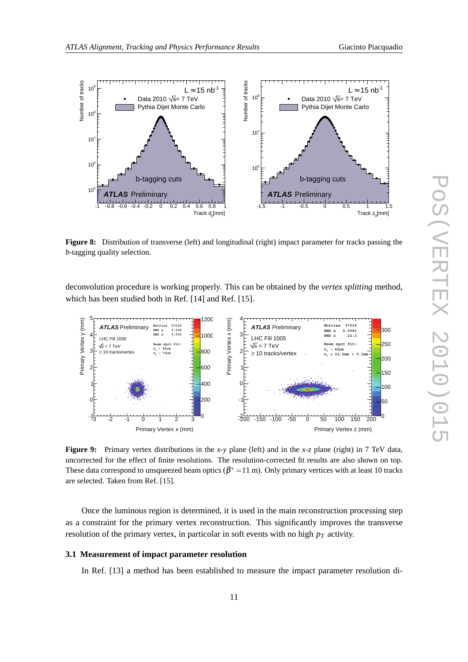

**Figure 8:** Distribution of transverse (left) and longitudinal (right) impact parameter for tracks passing the *b*-tagging quality selection.

deconvolution procedure is working properly. This can be obtained by the *vertex splitting* method, which has been studied both in Ref. [14] and Ref. [15].



**Figure 9:** Primary vertex distributions in the *x*-*y* plane (left) and in the *x*-*z* plane (right) in 7 TeV data, uncorrected for the effect of finite resolutions. The resolution-corrected fit results are also shown on top. These data correspond to unsqueezed beam optics ( $\beta^*$  = 11 m). Only primary vertices with at least 10 tracks are selected. Taken from Ref. [15].

Once the luminous region is determined, it is used in the main reconstruction processing step as a constraint for the primary vertex reconstruction. This significantly improves the transverse resolution of the primary vertex, in particolar in soft events with no high  $p<sub>T</sub>$  activity.

# **3.1 Measurement of impact parameter resolution**

In Ref. [13] a method has been established to measure the impact parameter resolution di-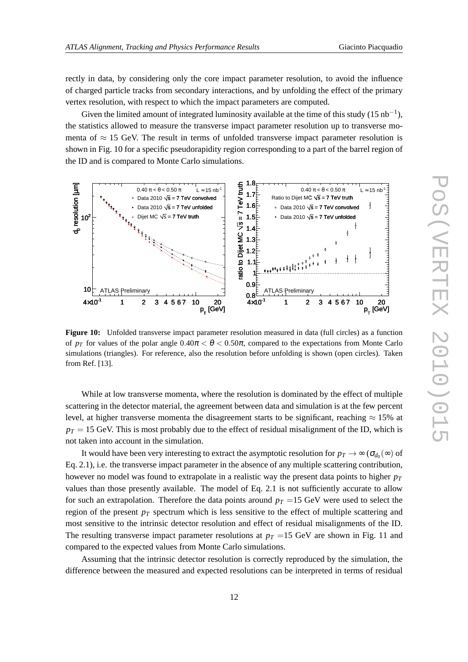rectly in data, by considering only the core impact parameter resolution, to avoid the influence of charged particle tracks from secondary interactions, and by unfolding the effect of the primary vertex resolution, with respect to which the impact parameters are computed.

Given the limited amount of integrated luminosity available at the time of this study  $(15 nb<sup>-1</sup>)$ , the statistics allowed to measure the transverse impact parameter resolution up to transverse momenta of  $\approx$  15 GeV. The result in terms of unfolded transverse impact parameter resolution is shown in Fig. 10 for a specific pseudorapidity region corresponding to a part of the barrel region of the ID and is compared to Monte Carlo simulations.



**Figure 10:** Unfolded transverse impact parameter resolution measured in data (full circles) as a function of  $p_T$  for values of the polar angle  $0.40\pi < \theta < 0.50\pi$ , compared to the expectations from Monte Carlo simulations (triangles). For reference, also the resolution before unfolding is shown (open circles). Taken from Ref. [13].

While at low transverse momenta, where the resolution is dominated by the effect of multiple scattering in the detector material, the agreement between data and simulation is at the few percent level, at higher transverse momenta the disagreement starts to be significant, reaching  $\approx 15\%$  at  $p_T = 15$  GeV. This is most probably due to the effect of residual misalignment of the ID, which is not taken into account in the simulation.

It would have been very interesting to extract the asymptotic resolution for  $p_T \to \infty$  ( $\sigma_{d_0}(\infty)$  of Eq. 2.1), i.e. the transverse impact parameter in the absence of any multiple scattering contribution, however no model was found to extrapolate in a realistic way the present data points to higher *p<sup>T</sup>* values than those presently available. The model of Eq. 2.1 is not sufficiently accurate to allow for such an extrapolation. Therefore the data points around  $p_T = 15$  GeV were used to select the region of the present  $p_T$  spectrum which is less sensitive to the effect of multiple scattering and most sensitive to the intrinsic detector resolution and effect of residual misalignments of the ID. The resulting transverse impact parameter resolutions at  $p_T = 15$  GeV are shown in Fig. 11 and compared to the expected values from Monte Carlo simulations.

Assuming that the intrinsic detector resolution is correctly reproduced by the simulation, the difference between the measured and expected resolutions can be interpreted in terms of residual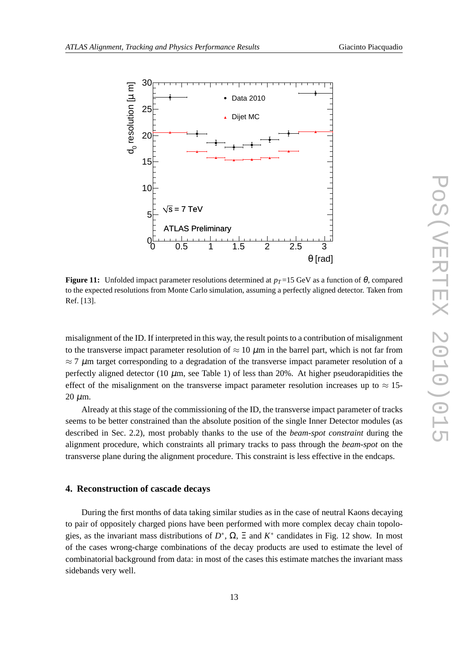

**Figure 11:** Unfolded impact parameter resolutions determined at  $p_T = 15$  GeV as a function of  $\theta$ , compared to the expected resolutions from Monte Carlo simulation, assuming a perfectly aligned detector. Taken from Ref. [13].

misalignment of the ID. If interpreted in this way, the result points to a contribution of misalignment to the transverse impact parameter resolution of  $\approx 10 \mu m$  in the barrel part, which is not far from  $\approx$  7  $\mu$ m target corresponding to a degradation of the transverse impact parameter resolution of a perfectly aligned detector (10  $\mu$ m, see Table 1) of less than 20%. At higher pseudorapidities the effect of the misalignment on the transverse impact parameter resolution increases up to  $\approx 15$ - $20 \mu m$ .

Already at this stage of the commissioning of the ID, the transverse impact parameter of tracks seems to be better constrained than the absolute position of the single Inner Detector modules (as described in Sec. 2.2), most probably thanks to the use of the *beam-spot constraint* during the alignment procedure, which constraints all primary tracks to pass through the *beam-spot* on the transverse plane during the alignment procedure. This constraint is less effective in the endcaps.

# **4. Reconstruction of cascade decays**

During the first months of data taking similar studies as in the case of neutral Kaons decaying to pair of oppositely charged pions have been performed with more complex decay chain topologies, as the invariant mass distributions of  $D^*$ ,  $\Omega$ ,  $\Xi$  and  $K^*$  candidates in Fig. 12 show. In most of the cases wrong-charge combinations of the decay products are used to estimate the level of combinatorial background from data: in most of the cases this estimate matches the invariant mass sidebands very well.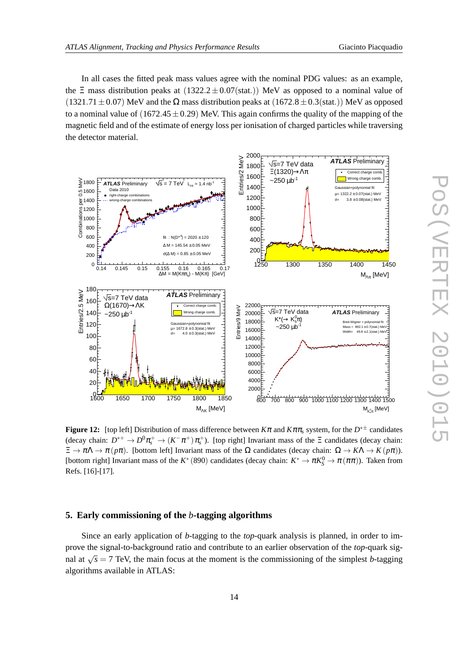In all cases the fitted peak mass values agree with the nominal PDG values: as an example, the  $\Xi$  mass distribution peaks at  $(1322.2 \pm 0.07(stat))$  MeV as opposed to a nominal value of  $(1321.71 \pm 0.07)$  MeV and the  $\Omega$  mass distribution peaks at  $(1672.8 \pm 0.3(stat))$  MeV as opposed to a nominal value of  $(1672.45 \pm 0.29)$  MeV. This again confirms the quality of the mapping of the magnetic field and of the estimate of energy loss per ionisation of charged particles while traversing the detector material.



**Figure 12:** [top left] Distribution of mass difference between *K*<sup>π</sup> and *K*ππ*<sup>s</sup>* system, for the *D* ∗± candidates (decay chain:  $D^{*+} \to D^0 \pi_s^+ \to (K^- \pi^+) \pi_s^+$ ). [top right] Invariant mass of the  $\Xi$  candidates (decay chain:  $\Xi \to \pi \Lambda \to \pi (p\pi)$ . [bottom left] Invariant mass of the  $\Omega$  candidates (decay chain:  $\Omega \to K\Lambda \to K (p\pi)$ ). [bottom right] Invariant mass of the  $K^*(890)$  candidates (decay chain:  $K^* \to \pi K_S^0 \to \pi (\pi \pi)$ ). Taken from Refs. [16]-[17].

# **5. Early commissioning of the** *b***-tagging algorithms**

Since an early application of *b*-tagging to the *top*-quark analysis is planned, in order to improve the signal-to-background ratio and contribute to an earlier observation of the *top*-quark signal at  $\sqrt{s}$  = 7 TeV, the main focus at the moment is the commissioning of the simplest *b*-tagging algorithms available in ATLAS: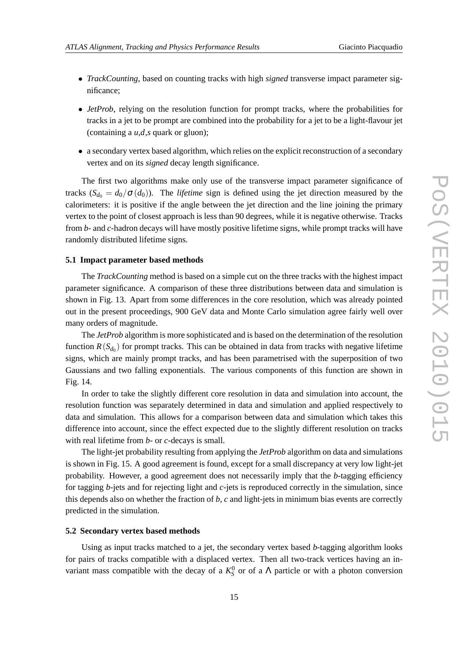- *TrackCounting*, based on counting tracks with high *signed* transverse impact parameter significance;
- *JetProb*, relying on the resolution function for prompt tracks, where the probabilities for tracks in a jet to be prompt are combined into the probability for a jet to be a light-flavour jet (containing a *u*,*d*,*s* quark or gluon);
- a secondary vertex based algorithm, which relies on the explicit reconstruction of a secondary vertex and on its *signed* decay length significance.

The first two algorithms make only use of the transverse impact parameter significance of tracks  $(S_{d_0} = d_0 / \sigma(d_0))$ . The *lifetime* sign is defined using the jet direction measured by the calorimeters: it is positive if the angle between the jet direction and the line joining the primary vertex to the point of closest approach is less than 90 degrees, while it is negative otherwise. Tracks from *b*- and *c*-hadron decays will have mostly positive lifetime signs, while prompt tracks will have randomly distributed lifetime signs.

#### **5.1 Impact parameter based methods**

The *TrackCounting* method is based on a simple cut on the three tracks with the highest impact parameter significance. A comparison of these three distributions between data and simulation is shown in Fig. 13. Apart from some differences in the core resolution, which was already pointed out in the present proceedings, 900 GeV data and Monte Carlo simulation agree fairly well over many orders of magnitude.

The *JetProb* algorithm is more sophisticated and is based on the determination of the resolution function  $R(S_{d_0})$  for prompt tracks. This can be obtained in data from tracks with negative lifetime signs, which are mainly prompt tracks, and has been parametrised with the superposition of two Gaussians and two falling exponentials. The various components of this function are shown in Fig. 14.

In order to take the slightly different core resolution in data and simulation into account, the resolution function was separately determined in data and simulation and applied respectively to data and simulation. This allows for a comparison between data and simulation which takes this difference into account, since the effect expected due to the slightly different resolution on tracks with real lifetime from *b*- or *c*-decays is small.

The light-jet probability resulting from applying the *JetProb* algorithm on data and simulations is shown in Fig. 15. A good agreement is found, except for a small discrepancy at very low light-jet probability. However, a good agreement does not necessarily imply that the *b*-tagging efficiency for tagging *b*-jets and for rejecting light and *c*-jets is reproduced correctly in the simulation, since this depends also on whether the fraction of *b*, *c* and light-jets in minimum bias events are correctly predicted in the simulation.

#### **5.2 Secondary vertex based methods**

Using as input tracks matched to a jet, the secondary vertex based *b*-tagging algorithm looks for pairs of tracks compatible with a displaced vertex. Then all two-track vertices having an invariant mass compatible with the decay of a  $K_S^0$  or of a  $\Lambda$  particle or with a photon conversion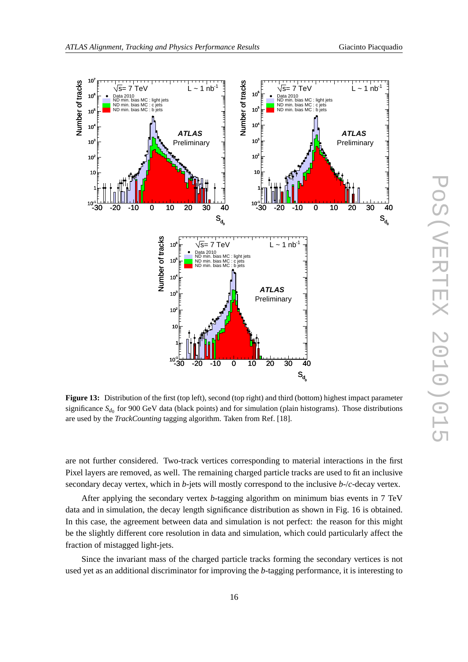

**Figure 13:** Distribution of the first (top left), second (top right) and third (bottom) highest impact parameter significance *S*<sub>*d*0</sub> for 900 GeV data (black points) and for simulation (plain histograms). Those distributions are used by the *TrackCounting* tagging algorithm. Taken from Ref. [18].

are not further considered. Two-track vertices corresponding to material interactions in the first Pixel layers are removed, as well. The remaining charged particle tracks are used to fit an inclusive secondary decay vertex, which in *b*-jets will mostly correspond to the inclusive *b*-/*c*-decay vertex.

After applying the secondary vertex *b*-tagging algorithm on minimum bias events in 7 TeV data and in simulation, the decay length significance distribution as shown in Fig. 16 is obtained. In this case, the agreement between data and simulation is not perfect: the reason for this might be the slightly different core resolution in data and simulation, which could particularly affect the fraction of mistagged light-jets.

Since the invariant mass of the charged particle tracks forming the secondary vertices is not used yet as an additional discriminator for improving the *b*-tagging performance, it is interesting to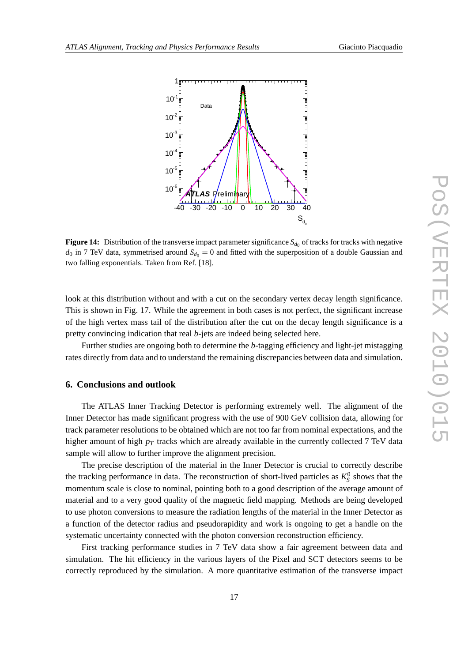

**Figure 14:** Distribution of the transverse impact parameter significance  $S_{d_0}$  of tracks for tracks with negative  $d_0$  in 7 TeV data, symmetrised around  $S_{d_0} = 0$  and fitted with the superposition of a double Gaussian and two falling exponentials. Taken from Ref. [18].

look at this distribution without and with a cut on the secondary vertex decay length significance. This is shown in Fig. 17. While the agreement in both cases is not perfect, the significant increase of the high vertex mass tail of the distribution after the cut on the decay length significance is a pretty convincing indication that real *b*-jets are indeed being selected here.

Further studies are ongoing both to determine the *b*-tagging efficiency and light-jet mistagging rates directly from data and to understand the remaining discrepancies between data and simulation.

# **6. Conclusions and outlook**

The ATLAS Inner Tracking Detector is performing extremely well. The alignment of the Inner Detector has made significant progress with the use of 900 GeV collision data, allowing for track parameter resolutions to be obtained which are not too far from nominal expectations, and the higher amount of high *p<sup>T</sup>* tracks which are already available in the currently collected 7 TeV data sample will allow to further improve the alignment precision.

The precise description of the material in the Inner Detector is crucial to correctly describe the tracking performance in data. The reconstruction of short-lived particles as  $K_S^0$  shows that the momentum scale is close to nominal, pointing both to a good description of the average amount of material and to a very good quality of the magnetic field mapping. Methods are being developed to use photon conversions to measure the radiation lengths of the material in the Inner Detector as a function of the detector radius and pseudorapidity and work is ongoing to get a handle on the systematic uncertainty connected with the photon conversion reconstruction efficiency.

First tracking performance studies in 7 TeV data show a fair agreement between data and simulation. The hit efficiency in the various layers of the Pixel and SCT detectors seems to be correctly reproduced by the simulation. A more quantitative estimation of the transverse impact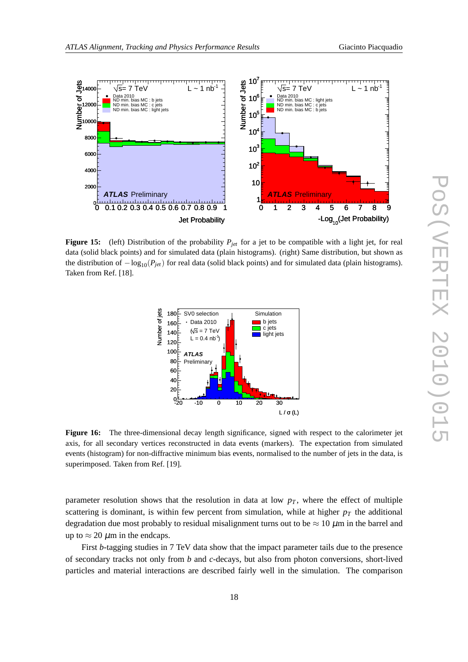

**Figure 15:** (left) Distribution of the probability *Pjet* for a jet to be compatible with a light jet, for real data (solid black points) and for simulated data (plain histograms). (right) Same distribution, but shown as the distribution of −log10(*Pjet*) for real data (solid black points) and for simulated data (plain histograms). Taken from Ref. [18].



**Figure 16:** The three-dimensional decay length significance, signed with respect to the calorimeter jet axis, for all secondary vertices reconstructed in data events (markers). The expectation from simulated events (histogram) for non-diffractive minimum bias events, normalised to the number of jets in the data, is superimposed. Taken from Ref. [19].

parameter resolution shows that the resolution in data at low  $p<sub>T</sub>$ , where the effect of multiple scattering is dominant, is within few percent from simulation, while at higher  $p<sub>T</sub>$  the additional degradation due most probably to residual misalignment turns out to be  $\approx 10 \ \mu m$  in the barrel and up to  $\approx 20 \ \mu \text{m}$  in the endcaps.

First *b*-tagging studies in 7 TeV data show that the impact parameter tails due to the presence of secondary tracks not only from *b* and *c*-decays, but also from photon conversions, short-lived particles and material interactions are described fairly well in the simulation. The comparison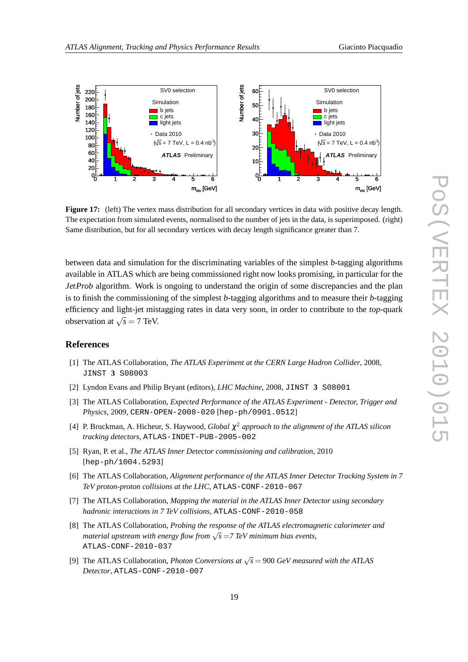

**Figure 17:** (left) The vertex mass distribution for all secondary vertices in data with positive decay length. The expectation from simulated events, normalised to the number of jets in the data, is superimposed. (right) Same distribution, but for all secondary vertices with decay length significance greater than 7.

between data and simulation for the discriminating variables of the simplest *b*-tagging algorithms available in ATLAS which are being commissioned right now looks promising, in particular for the *JetProb* algorithm. Work is ongoing to understand the origin of some discrepancies and the plan is to finish the commissioning of the simplest *b*-tagging algorithms and to measure their *b*-tagging efficiency and light-jet mistagging rates in data very soon, in order to contribute to the *top-*quark observation at  $\sqrt{s} = 7$  TeV.

## **References**

- [1] The ATLAS Collaboration, *The ATLAS Experiment at the CERN Large Hadron Collider*, 2008, JINST **3** S08003
- [2] Lyndon Evans and Philip Bryant (editors), *LHC Machine*, 2008, JINST **3** S08001
- [3] The ATLAS Collaboration, *Expected Performance of the ATLAS Experiment Detector, Trigger and Physics*, 2009, CERN-OPEN-2008-020 [hep-ph/0901.0512]
- [4] P. Bruckman, A. Hicheur, S. Haywood, *Global* χ <sup>2</sup> *approach to the alignment of the ATLAS silicon tracking detectors*, ATLAS-INDET-PUB-2005-002
- [5] Ryan, P. et al., *The ATLAS Inner Detector commissioning and calibration*, 2010 [hep-ph/1004.5293]
- [6] The ATLAS Collaboration, *Alignment performance of the ATLAS Inner Detector Tracking System in 7 TeV proton-proton collisions at the LHC*, ATLAS-CONF-2010-067
- [7] The ATLAS Collaboration, *Mapping the material in the ATLAS Inner Detector using secondary hadronic interactions in 7 TeV collisions*, ATLAS-CONF-2010-058
- [8] The ATLAS Collaboration, *Probing the response of the ATLAS electromagnetic calorimeter and material upstream with energy flow from*  $\sqrt{s} = 7$  TeV minimum bias events, ATLAS-CONF-2010-037
- [9] The ATLAS Collaboration, *Photon Conversions at*  $\sqrt{s} = 900 \text{ GeV}$  measured with the ATLAS *Detector*, ATLAS-CONF-2010-007